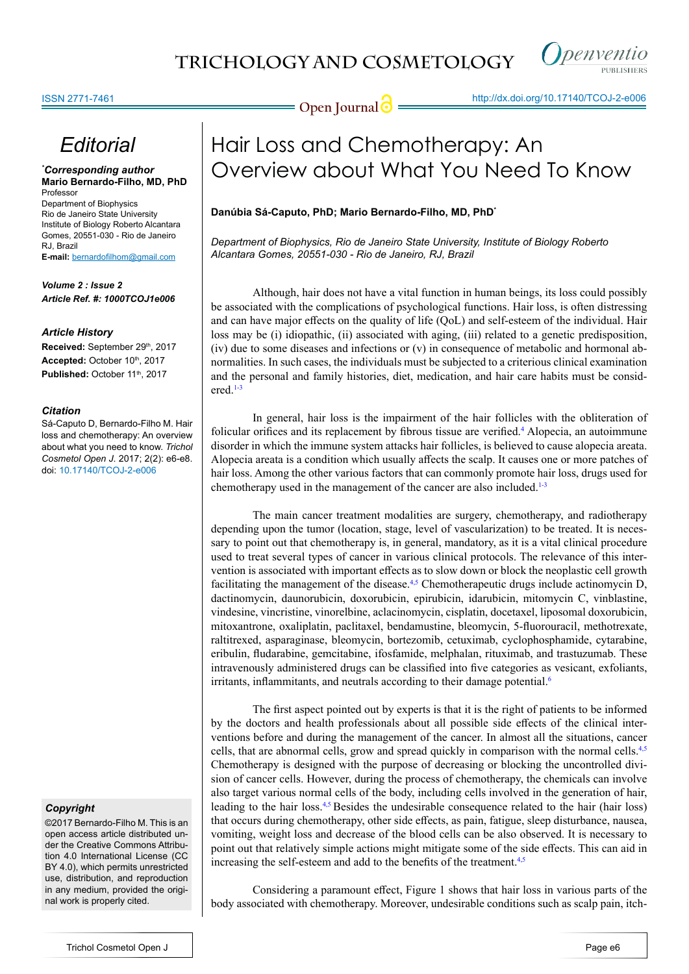

Inenventio

# *Editorial*

*\* Corresponding author* **Mario Bernardo-Filho, MD, PhD** Professor Department of Biophysics Rio de Janeiro State University Institute of Biology Roberto Alcantara

Gomes, 20551-030 - Rio de Janeiro RJ, Brazil **E-mail:** bernardofilhom@gmail.com

*Volume 2 : Issue 2 Article Ref. #: 1000TCOJ1e006*

# *Article History*

Received: September 29<sup>th</sup>, 2017 Accepted: October 10th, 2017 Published: October 11<sup>th</sup>, 2017

### *Citation*

Sá-Caputo D, Bernardo-Filho M. Hair loss and chemotherapy: An overview about what you need to know. *Trichol Cosmetol Open J*. 2017; 2(2): e6-e8. doi: [10.17140/TCOJ-2-e006](http://dx.doi.org/10.17140/TCOJ-2-e006)

# *Copyright*

©2017 Bernardo-Filho M. This is an open access article distributed under the Creative Commons Attribution 4.0 International License (CC BY 4.0), which permits unrestricted use, distribution, and reproduction in any medium, provided the original work is properly cited.

# Hair Loss and Chemotherapy: An Overview about What You Need To Know

# **Danúbia Sá-Caputo, PhD; Mario Bernardo-Filho, MD, PhD\***

*Department of Biophysics, Rio de Janeiro State University, Institute of Biology Roberto Alcantara Gomes, 20551-030 - Rio de Janeiro, RJ, Brazil*

Although, hair does not have a vital function in human beings, its loss could possibly be associated with the complications of psychological functions. Hair loss, is often distressing and can have major effects on the quality of life (QoL) and self-esteem of the individual. Hair loss may be (i) idiopathic, (ii) associated with aging, (iii) related to a genetic predisposition, (iv) due to some diseases and infections or (v) in consequence of metabolic and hormonal abnormalities. In such cases, the individuals must be subjected to a criterious clinical examination and the personal and family histories, diet, medication, and hair care habits must be considered.[1-3](#page-2-0)

In general, hair loss is the impairment of the hair follicles with the obliteration of folicular orifices and its replacement by fibrous tissue are verified.<sup>[4](#page-2-1)</sup> Alopecia, an autoimmune disorder in which the immune system attacks hair follicles, is believed to cause alopecia areata. Alopecia areata is a condition which usually affects the scalp. It causes one or more patches of hair loss. Among the other various factors that can commonly promote hair loss, drugs used for chemotherapy used in the management of the cancer are also included.<sup>[1-3](#page-2-0)</sup>

The main cancer treatment modalities are surgery, chemotherapy, and radiotherapy depending upon the tumor (location, stage, level of vascularization) to be treated. It is necessary to point out that chemotherapy is, in general, mandatory, as it is a vital clinical procedure used to treat several types of cancer in various clinical protocols. The relevance of this intervention is associated with important effects as to slow down or block the neoplastic cell growth facilitating the management of the disease.<sup>4,5</sup> Chemotherapeutic drugs include actinomycin D, dactinomycin, daunorubicin, doxorubicin, epirubicin, idarubicin, mitomycin C, vinblastine, vindesine, vincristine, vinorelbine, aclacinomycin, cisplatin, docetaxel, liposomal doxorubicin, mitoxantrone, oxaliplatin, paclitaxel, bendamustine, bleomycin, 5-fluorouracil, methotrexate, raltitrexed, asparaginase, bleomycin, bortezomib, cetuximab, cyclophosphamide, cytarabine, eribulin, fludarabine, gemcitabine, ifosfamide, melphalan, rituximab, and trastuzumab. These intravenously administered drugs can be classified into five categories as vesicant, exfoliants, irritants, inflammitants, and neutrals according to their damage potential.<sup>[6](#page-2-2)</sup>

The first aspect pointed out by experts is that it is the right of patients to be informed by the doctors and health professionals about all possible side effects of the clinical interventions before and during the management of the cancer. In almost all the situations, cancer cells, that are abnormal cells, grow and spread quickly in comparison with the normal cells.<sup>[4,5](#page-2-1)</sup> Chemotherapy is designed with the purpose of decreasing or blocking the uncontrolled division of cancer cells. However, during the process of chemotherapy, the chemicals can involve also target various normal cells of the body, including cells involved in the generation of hair, leading to the hair loss. $4.5$  Besides the undesirable consequence related to the hair (hair loss) that occurs during chemotherapy, other side effects, as pain, fatigue, sleep disturbance, nausea, vomiting, weight loss and decrease of the blood cells can be also observed. It is necessary to point out that relatively simple actions might mitigate some of the side effects. This can aid in increasing the self-esteem and add to the benefits of the treatment.<sup>[4,5](#page-2-1)</sup>

Considering a paramount effect, Figure 1 shows that hair loss in various parts of the body associated with chemotherapy. Moreover, undesirable conditions such as scalp pain, itch-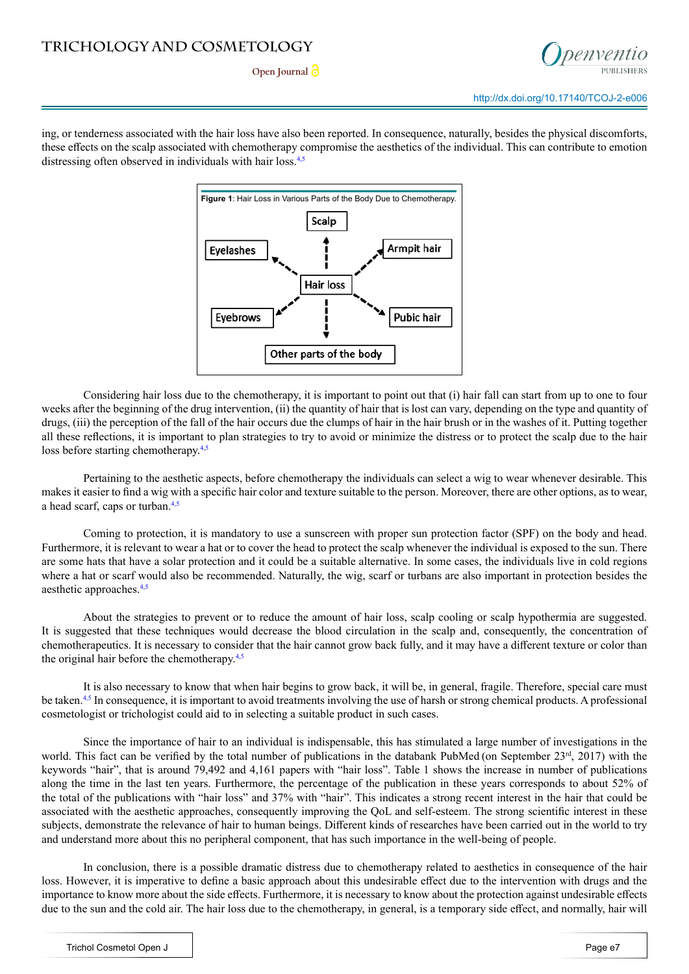

ing, or tenderness associated with the hair loss have also been reported. In consequence, naturally, besides the physical discomforts, these effects on the scalp associated with chemotherapy compromise the aesthetics of the individual. This can contribute to emotion distressing often observed in individuals with hair loss.<sup>[4,5](#page-2-1)</sup>



Considering hair loss due to the chemotherapy, it is important to point out that (i) hair fall can start from up to one to four weeks after the beginning of the drug intervention, (ii) the quantity of hair that is lost can vary, depending on the type and quantity of drugs, (iii) the perception of the fall of the hair occurs due the clumps of hair in the hair brush or in the washes of it. Putting together all these reflections, it is important to plan strategies to try to avoid or minimize the distress or to protect the scalp due to the hair loss before starting chemotherapy. $4,5$ 

Pertaining to the aesthetic aspects, before chemotherapy the individuals can select a wig to wear whenever desirable. This makes it easier to find a wig with a specific hair color and texture suitable to the person. Moreover, there are other options, as to wear, a head scarf, caps or turban.[4,5](#page-2-1)

Coming to protection, it is mandatory to use a sunscreen with proper sun protection factor (SPF) on the body and head. Furthermore, it is relevant to wear a hat or to cover the head to protect the scalp whenever the individual is exposed to the sun. There are some hats that have a solar protection and it could be a suitable alternative. In some cases, the individuals live in cold regions where a hat or scarf would also be recommended. Naturally, the wig, scarf or turbans are also important in protection besides the aesthetic approaches.[4,5](#page-2-1)

About the strategies to prevent or to reduce the amount of hair loss, scalp cooling or scalp hypothermia are suggested. It is suggested that these techniques would decrease the blood circulation in the scalp and, consequently, the concentration of chemotherapeutics. It is necessary to consider that the hair cannot grow back fully, and it may have a different texture or color than the original hair before the chemotherapy.[4,5](#page-2-1)

It is also necessary to know that when hair begins to grow back, it will be, in general, fragile. Therefore, special care must be taken.<sup>[4,5](#page-2-1)</sup> In consequence, it is important to avoid treatments involving the use of harsh or strong chemical products. A professional cosmetologist or trichologist could aid to in selecting a suitable product in such cases.

Since the importance of hair to an individual is indispensable, this has stimulated a large number of investigations in the world. This fact can be verified by the total number of publications in the databank PubMed (on September  $23<sup>rd</sup>$ , 2017) with the keywords "hair", that is around 79,492 and 4,161 papers with "hair loss". Table 1 shows the increase in number of publications along the time in the last ten years. Furthermore, the percentage of the publication in these years corresponds to about 52% of the total of the publications with "hair loss" and 37% with "hair". This indicates a strong recent interest in the hair that could be associated with the aesthetic approaches, consequently improving the QoL and self-esteem. The strong scientific interest in these subjects, demonstrate the relevance of hair to human beings. Different kinds of researches have been carried out in the world to try and understand more about this no peripheral component, that has such importance in the well-being of people.

In conclusion, there is a possible dramatic distress due to chemotherapy related to aesthetics in consequence of the hair loss. However, it is imperative to define a basic approach about this undesirable effect due to the intervention with drugs and the importance to know more about the side effects. Furthermore, it is necessary to know about the protection against undesirable effects due to the sun and the cold air. The hair loss due to the chemotherapy, in general, is a temporary side effect, and normally, hair will